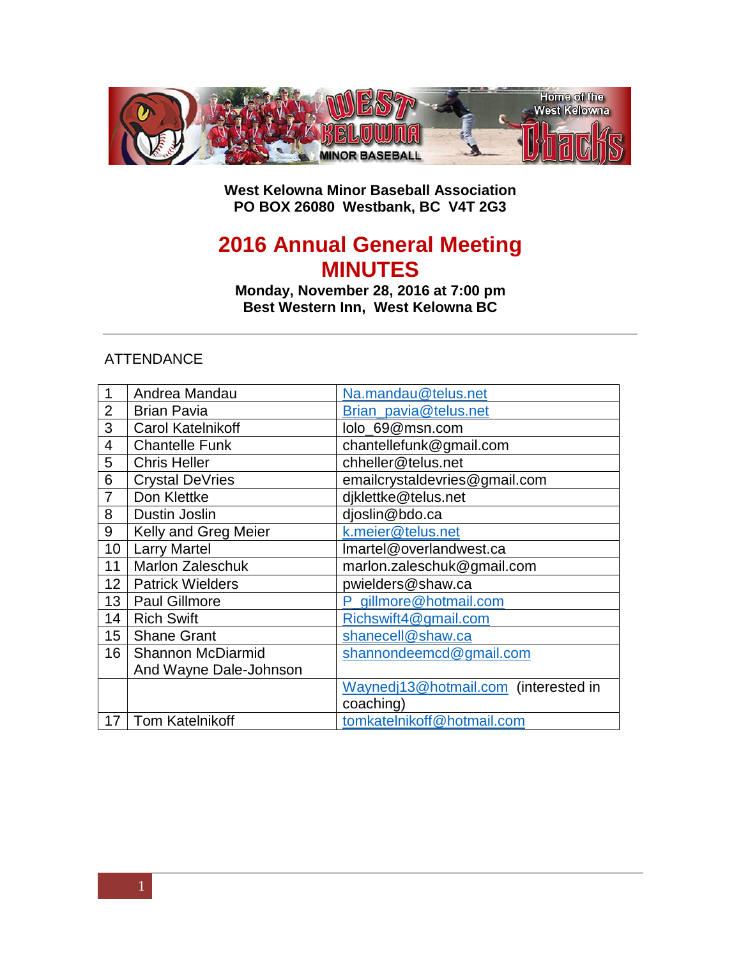

**West Kelowna Minor Baseball Association PO BOX 26080 Westbank, BC V4T 2G3**

## **Annual General Meeting MINUTES**

**Monday, November 28, 2016 at 7:00 pm Best Western Inn, West Kelowna BC**

## ATTENDANCE

| 1               | Andrea Mandau            | Na.mandau@telus.net                  |
|-----------------|--------------------------|--------------------------------------|
| $\overline{2}$  | <b>Brian Pavia</b>       | Brian pavia@telus.net                |
| 3               | <b>Carol Katelnikoff</b> | lolo_69@msn.com                      |
| 4               | <b>Chantelle Funk</b>    | chantellefunk@gmail.com              |
| 5               | <b>Chris Heller</b>      | chheller@telus.net                   |
| 6               | <b>Crystal DeVries</b>   | emailcrystaldevries@gmail.com        |
| 7               | Don Klettke              | djklettke@telus.net                  |
| 8               | <b>Dustin Joslin</b>     | djoslin@bdo.ca                       |
| 9               | Kelly and Greg Meier     | k.meier@telus.net                    |
| 10              | <b>Larry Martel</b>      | Imartel@overlandwest.ca              |
| 11              | <b>Marlon Zaleschuk</b>  | marlon.zaleschuk@gmail.com           |
| 12              | <b>Patrick Wielders</b>  | pwielders@shaw.ca                    |
| 13              | <b>Paul Gillmore</b>     | P_gillmore@hotmail.com               |
| 14              | <b>Rich Swift</b>        | Richswift4@gmail.com                 |
| 15 <sup>1</sup> | <b>Shane Grant</b>       | shanecell@shaw.ca                    |
| 16              | <b>Shannon McDiarmid</b> | shannondeemcd@gmail.com              |
|                 | And Wayne Dale-Johnson   |                                      |
|                 |                          | Waynedj13@hotmail.com (interested in |
|                 |                          | coaching)                            |
| 17              | Tom Katelnikoff          | tomkatelnikoff@hotmail.com           |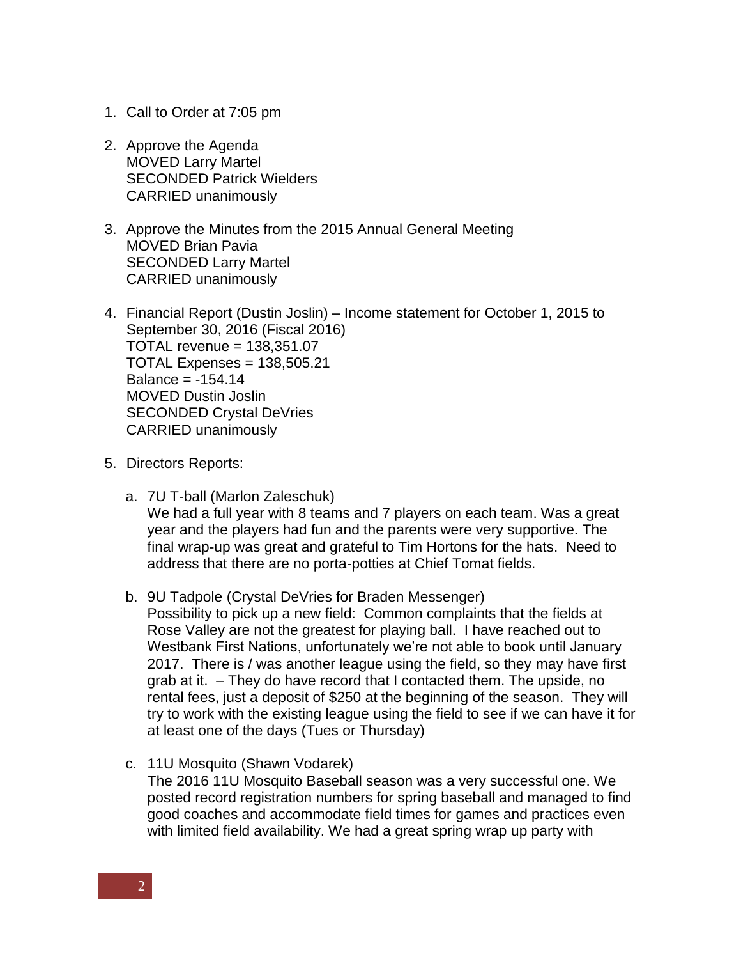- 1. Call to Order at 7:05 pm
- 2. Approve the Agenda MOVED Larry Martel SECONDED Patrick Wielders CARRIED unanimously
- 3. Approve the Minutes from the 2015 Annual General Meeting MOVED Brian Pavia SECONDED Larry Martel CARRIED unanimously
- 4. Financial Report (Dustin Joslin) Income statement for October 1, 2015 to September 30, 2016 (Fiscal 2016) TOTAL revenue = 138,351.07 TOTAL Expenses = 138,505.21 Balance  $= -154.14$ MOVED Dustin Joslin SECONDED Crystal DeVries CARRIED unanimously
- 5. Directors Reports:
	- a. 7U T-ball (Marlon Zaleschuk) We had a full year with 8 teams and 7 players on each team. Was a great year and the players had fun and the parents were very supportive. The final wrap-up was great and grateful to Tim Hortons for the hats. Need to address that there are no porta-potties at Chief Tomat fields.
	- b. 9U Tadpole (Crystal DeVries for Braden Messenger) Possibility to pick up a new field: Common complaints that the fields at Rose Valley are not the greatest for playing ball. I have reached out to Westbank First Nations, unfortunately we're not able to book until January 2017. There is / was another league using the field, so they may have first grab at it. – They do have record that I contacted them. The upside, no rental fees, just a deposit of \$250 at the beginning of the season. They will try to work with the existing league using the field to see if we can have it for at least one of the days (Tues or Thursday)
	- c. 11U Mosquito (Shawn Vodarek) The 2016 11U Mosquito Baseball season was a very successful one. We posted record registration numbers for spring baseball and managed to find good coaches and accommodate field times for games and practices even with limited field availability. We had a great spring wrap up party with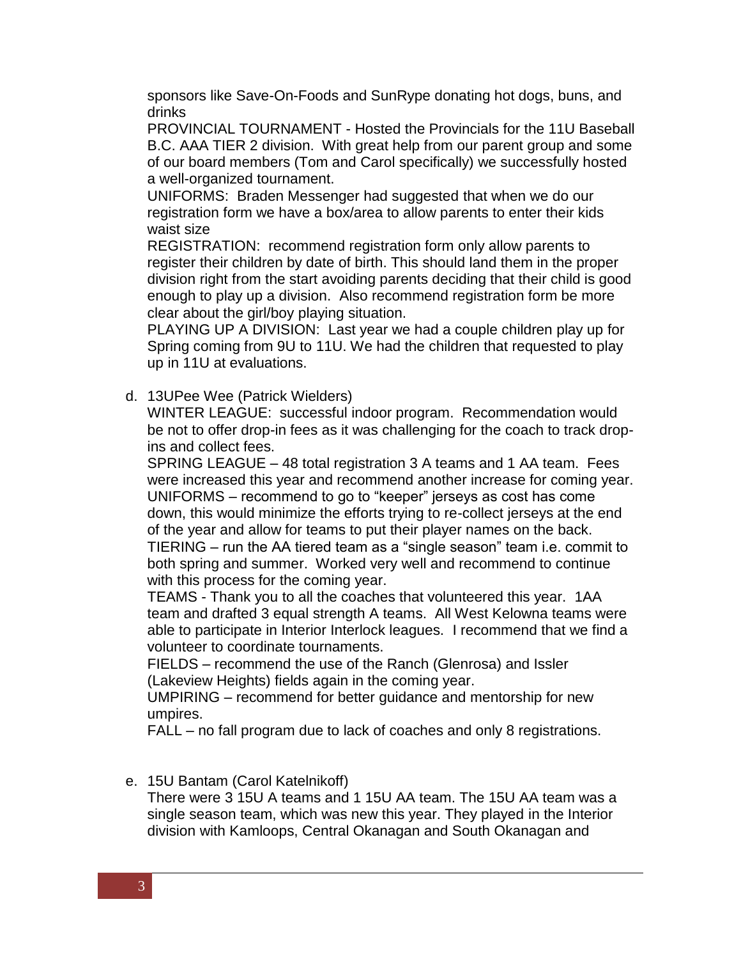sponsors like Save-On-Foods and SunRype donating hot dogs, buns, and drinks

PROVINCIAL TOURNAMENT - Hosted the Provincials for the 11U Baseball B.C. AAA TIER 2 division. With great help from our parent group and some of our board members (Tom and Carol specifically) we successfully hosted a well-organized tournament.

UNIFORMS: Braden Messenger had suggested that when we do our registration form we have a box/area to allow parents to enter their kids waist size

REGISTRATION: recommend registration form only allow parents to register their children by date of birth. This should land them in the proper division right from the start avoiding parents deciding that their child is good enough to play up a division. Also recommend registration form be more clear about the girl/boy playing situation.

PLAYING UP A DIVISION: Last year we had a couple children play up for Spring coming from 9U to 11U. We had the children that requested to play up in 11U at evaluations.

d. 13UPee Wee (Patrick Wielders)

WINTER LEAGUE: successful indoor program. Recommendation would be not to offer drop-in fees as it was challenging for the coach to track dropins and collect fees.

SPRING LEAGUE – 48 total registration 3 A teams and 1 AA team. Fees were increased this year and recommend another increase for coming year. UNIFORMS – recommend to go to "keeper" jerseys as cost has come down, this would minimize the efforts trying to re-collect jerseys at the end of the year and allow for teams to put their player names on the back. TIERING – run the AA tiered team as a "single season" team i.e. commit to both spring and summer. Worked very well and recommend to continue with this process for the coming year.

TEAMS - Thank you to all the coaches that volunteered this year. 1AA team and drafted 3 equal strength A teams. All West Kelowna teams were able to participate in Interior Interlock leagues. I recommend that we find a volunteer to coordinate tournaments.

FIELDS – recommend the use of the Ranch (Glenrosa) and Issler (Lakeview Heights) fields again in the coming year.

UMPIRING – recommend for better guidance and mentorship for new umpires.

FALL – no fall program due to lack of coaches and only 8 registrations.

## e. 15U Bantam (Carol Katelnikoff)

There were 3 15U A teams and 1 15U AA team. The 15U AA team was a single season team, which was new this year. They played in the Interior division with Kamloops, Central Okanagan and South Okanagan and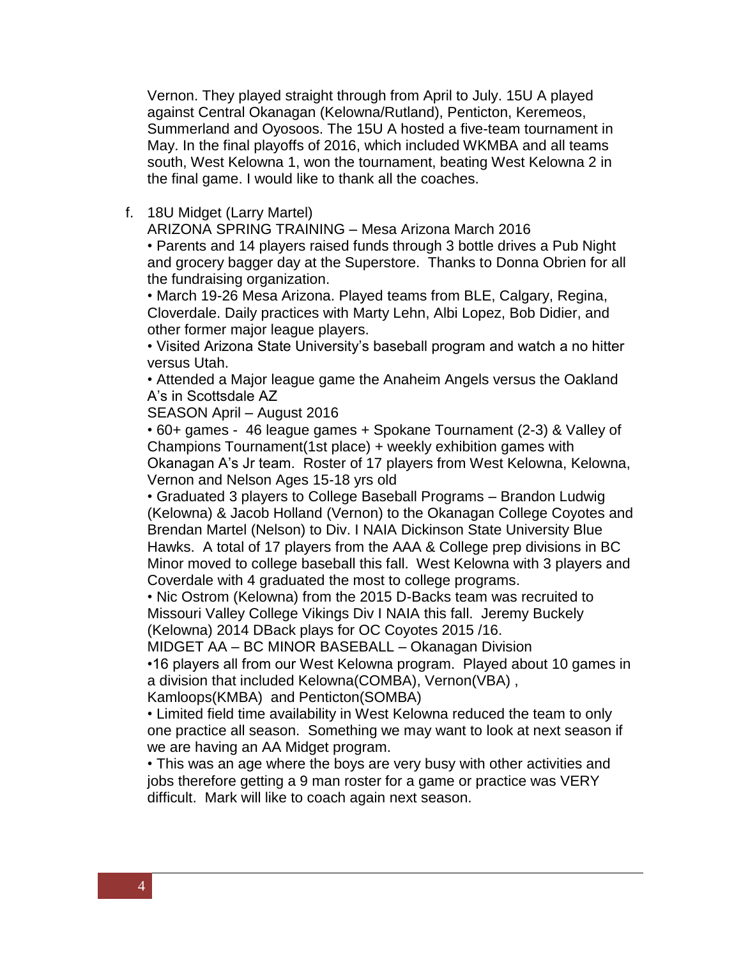Vernon. They played straight through from April to July. 15U A played against Central Okanagan (Kelowna/Rutland), Penticton, Keremeos, Summerland and Oyosoos. The 15U A hosted a five-team tournament in May. In the final playoffs of 2016, which included WKMBA and all teams south, West Kelowna 1, won the tournament, beating West Kelowna 2 in the final game. I would like to thank all the coaches.

f. 18U Midget (Larry Martel)

ARIZONA SPRING TRAINING – Mesa Arizona March 2016

• Parents and 14 players raised funds through 3 bottle drives a Pub Night and grocery bagger day at the Superstore. Thanks to Donna Obrien for all the fundraising organization.

• March 19-26 Mesa Arizona. Played teams from BLE, Calgary, Regina, Cloverdale. Daily practices with Marty Lehn, Albi Lopez, Bob Didier, and other former major league players.

• Visited Arizona State University's baseball program and watch a no hitter versus Utah.

• Attended a Major league game the Anaheim Angels versus the Oakland A's in Scottsdale AZ

SEASON April – August 2016

• 60+ games - 46 league games + Spokane Tournament (2-3) & Valley of Champions Tournament(1st place) + weekly exhibition games with Okanagan A's Jr team. Roster of 17 players from West Kelowna, Kelowna, Vernon and Nelson Ages 15-18 yrs old

• Graduated 3 players to College Baseball Programs – Brandon Ludwig (Kelowna) & Jacob Holland (Vernon) to the Okanagan College Coyotes and Brendan Martel (Nelson) to Div. I NAIA Dickinson State University Blue Hawks. A total of 17 players from the AAA & College prep divisions in BC Minor moved to college baseball this fall. West Kelowna with 3 players and Coverdale with 4 graduated the most to college programs.

• Nic Ostrom (Kelowna) from the 2015 D-Backs team was recruited to Missouri Valley College Vikings Div I NAIA this fall. Jeremy Buckely (Kelowna) 2014 DBack plays for OC Coyotes 2015 /16.

MIDGET AA – BC MINOR BASEBALL – Okanagan Division

•16 players all from our West Kelowna program. Played about 10 games in a division that included Kelowna(COMBA), Vernon(VBA) ,

Kamloops(KMBA) and Penticton(SOMBA)

• Limited field time availability in West Kelowna reduced the team to only one practice all season. Something we may want to look at next season if we are having an AA Midget program.

• This was an age where the boys are very busy with other activities and jobs therefore getting a 9 man roster for a game or practice was VERY difficult. Mark will like to coach again next season.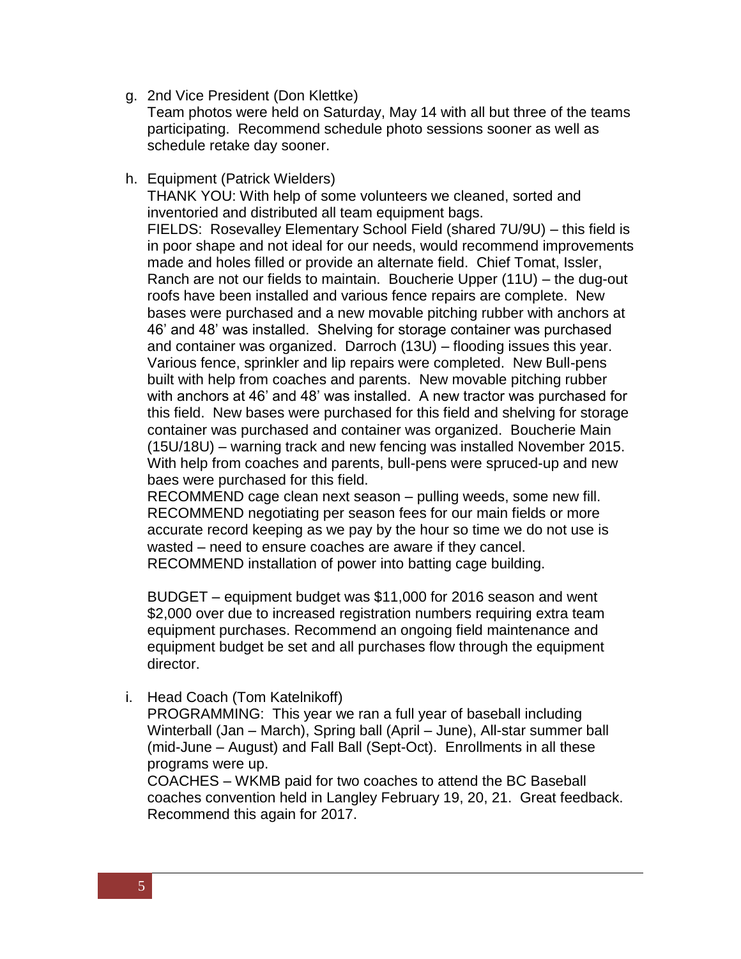g. 2nd Vice President (Don Klettke)

Team photos were held on Saturday, May 14 with all but three of the teams participating. Recommend schedule photo sessions sooner as well as schedule retake day sooner.

h. Equipment (Patrick Wielders)

THANK YOU: With help of some volunteers we cleaned, sorted and inventoried and distributed all team equipment bags. FIELDS: Rosevalley Elementary School Field (shared 7U/9U) – this field is in poor shape and not ideal for our needs, would recommend improvements made and holes filled or provide an alternate field. Chief Tomat, Issler, Ranch are not our fields to maintain. Boucherie Upper (11U) – the dug-out roofs have been installed and various fence repairs are complete. New bases were purchased and a new movable pitching rubber with anchors at 46' and 48' was installed. Shelving for storage container was purchased and container was organized. Darroch (13U) – flooding issues this year. Various fence, sprinkler and lip repairs were completed. New Bull-pens built with help from coaches and parents. New movable pitching rubber with anchors at 46' and 48' was installed. A new tractor was purchased for this field. New bases were purchased for this field and shelving for storage container was purchased and container was organized. Boucherie Main (15U/18U) – warning track and new fencing was installed November 2015. With help from coaches and parents, bull-pens were spruced-up and new baes were purchased for this field.

RECOMMEND cage clean next season – pulling weeds, some new fill. RECOMMEND negotiating per season fees for our main fields or more accurate record keeping as we pay by the hour so time we do not use is wasted – need to ensure coaches are aware if they cancel. RECOMMEND installation of power into batting cage building.

BUDGET – equipment budget was \$11,000 for 2016 season and went \$2,000 over due to increased registration numbers requiring extra team equipment purchases. Recommend an ongoing field maintenance and equipment budget be set and all purchases flow through the equipment director.

i. Head Coach (Tom Katelnikoff)

PROGRAMMING: This year we ran a full year of baseball including Winterball (Jan – March), Spring ball (April – June), All-star summer ball (mid-June – August) and Fall Ball (Sept-Oct). Enrollments in all these programs were up.

COACHES – WKMB paid for two coaches to attend the BC Baseball coaches convention held in Langley February 19, 20, 21. Great feedback. Recommend this again for 2017.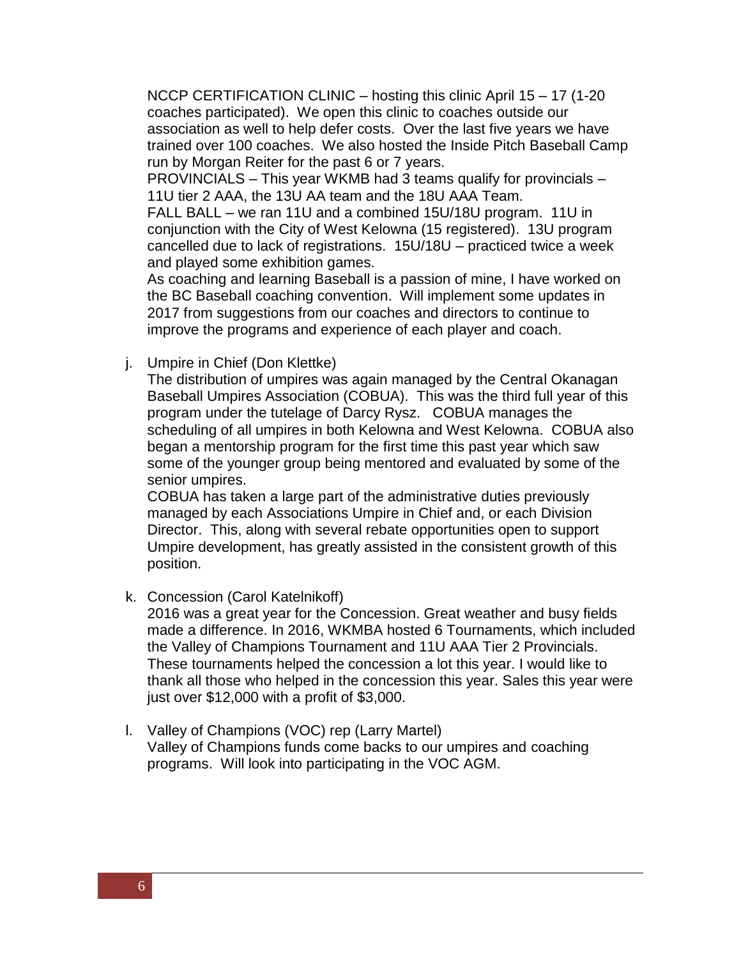NCCP CERTIFICATION CLINIC – hosting this clinic April 15 – 17 (1-20 coaches participated). We open this clinic to coaches outside our association as well to help defer costs. Over the last five years we have trained over 100 coaches. We also hosted the Inside Pitch Baseball Camp run by Morgan Reiter for the past 6 or 7 years.

PROVINCIALS – This year WKMB had 3 teams qualify for provincials – 11U tier 2 AAA, the 13U AA team and the 18U AAA Team.

FALL BALL – we ran 11U and a combined 15U/18U program. 11U in conjunction with the City of West Kelowna (15 registered). 13U program cancelled due to lack of registrations. 15U/18U – practiced twice a week and played some exhibition games.

As coaching and learning Baseball is a passion of mine, I have worked on the BC Baseball coaching convention. Will implement some updates in 2017 from suggestions from our coaches and directors to continue to improve the programs and experience of each player and coach.

j. Umpire in Chief (Don Klettke)

The distribution of umpires was again managed by the Central Okanagan Baseball Umpires Association (COBUA). This was the third full year of this program under the tutelage of Darcy Rysz. COBUA manages the scheduling of all umpires in both Kelowna and West Kelowna. COBUA also began a mentorship program for the first time this past year which saw some of the younger group being mentored and evaluated by some of the senior umpires.

COBUA has taken a large part of the administrative duties previously managed by each Associations Umpire in Chief and, or each Division Director. This, along with several rebate opportunities open to support Umpire development, has greatly assisted in the consistent growth of this position.

k. Concession (Carol Katelnikoff)

2016 was a great year for the Concession. Great weather and busy fields made a difference. In 2016, WKMBA hosted 6 Tournaments, which included the Valley of Champions Tournament and 11U AAA Tier 2 Provincials. These tournaments helped the concession a lot this year. I would like to thank all those who helped in the concession this year. Sales this year were just over \$12,000 with a profit of \$3,000.

l. Valley of Champions (VOC) rep (Larry Martel) Valley of Champions funds come backs to our umpires and coaching programs. Will look into participating in the VOC AGM.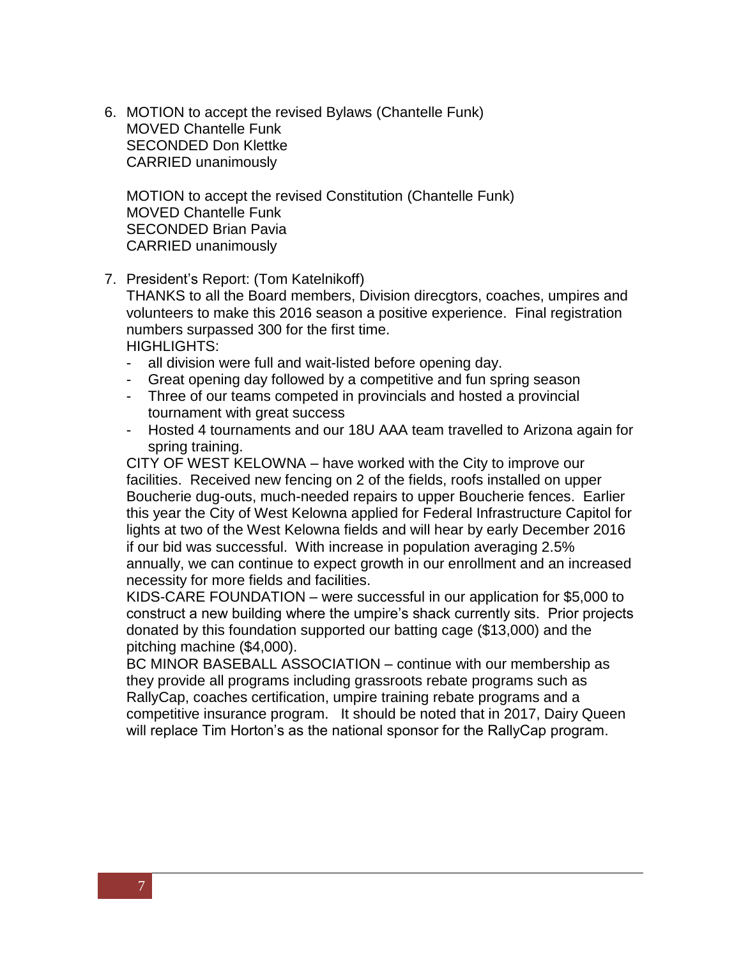6. MOTION to accept the revised Bylaws (Chantelle Funk) MOVED Chantelle Funk SECONDED Don Klettke CARRIED unanimously

MOTION to accept the revised Constitution (Chantelle Funk) MOVED Chantelle Funk SECONDED Brian Pavia CARRIED unanimously

7. President's Report: (Tom Katelnikoff)

THANKS to all the Board members, Division direcgtors, coaches, umpires and volunteers to make this 2016 season a positive experience. Final registration numbers surpassed 300 for the first time.

HIGHLIGHTS:

- all division were full and wait-listed before opening day.
- Great opening day followed by a competitive and fun spring season
- Three of our teams competed in provincials and hosted a provincial tournament with great success
- Hosted 4 tournaments and our 18U AAA team travelled to Arizona again for spring training.

CITY OF WEST KELOWNA – have worked with the City to improve our facilities. Received new fencing on 2 of the fields, roofs installed on upper Boucherie dug-outs, much-needed repairs to upper Boucherie fences. Earlier this year the City of West Kelowna applied for Federal Infrastructure Capitol for lights at two of the West Kelowna fields and will hear by early December 2016 if our bid was successful. With increase in population averaging 2.5% annually, we can continue to expect growth in our enrollment and an increased necessity for more fields and facilities.

KIDS-CARE FOUNDATION – were successful in our application for \$5,000 to construct a new building where the umpire's shack currently sits. Prior projects donated by this foundation supported our batting cage (\$13,000) and the pitching machine (\$4,000).

BC MINOR BASEBALL ASSOCIATION – continue with our membership as they provide all programs including grassroots rebate programs such as RallyCap, coaches certification, umpire training rebate programs and a competitive insurance program. It should be noted that in 2017, Dairy Queen will replace Tim Horton's as the national sponsor for the RallyCap program.